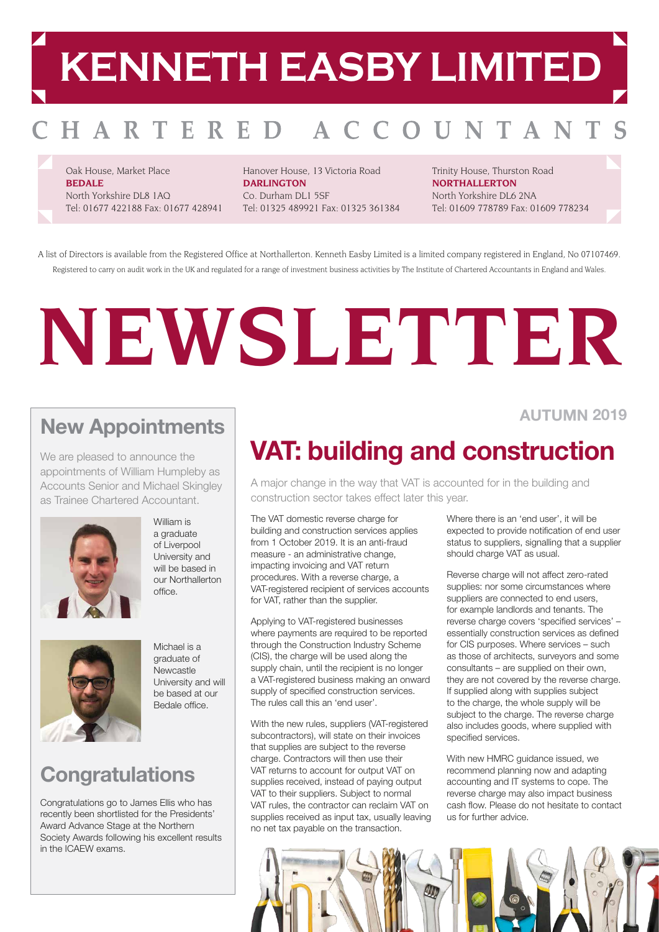## **KENNETH EASBY LIMITED**

#### HARTERED AC OUNTAN

Oak House, Market Place **BEDALE** North Yorkshire DL8 1AQ Tel: 01677 422188 Fax: 01677 428941

Hanover House, 13 Victoria Road **DARLINGTON** Co. Durham DL1 5SF Tel: 01325 489921 Fax: 01325 361384 Trinity House, Thurston Road **NORTHALLERTON** North Yorkshire DL6 2NA Tel: 01609 778789 Fax: 01609 778234

A list of Directors is available from the Registered Office at Northallerton. Kenneth Easby Limited is a limited company registered in England, No 07107469. Registered to carry on audit work in the UK and regulated for a range of investment business activities by The Institute of Chartered Accountants in England and Wales.

# **NEWSLETTER**

#### **New Appointments**

We are pleased to announce the appointments of William Humpleby as Accounts Senior and Michael Skingley as Trainee Chartered Accountant.



a graduate of Liverpool University and will be based in our Northallerton  $\bigcap_{n=1}^{\infty}$ 

William is



Michael is a graduate of Newcastle University and will be based at our Bedale office.

## **Congratulations**

Congratulations go to James Ellis who has recently been shortlisted for the Presidents' Award Advance Stage at the Northern Society Awards following his excellent results in the ICAEW exams.

#### **AUTUMN 2019**

## **VAT: building and construction**

A major change in the way that VAT is accounted for in the building and construction sector takes effect later this year.

The VAT domestic reverse charge for building and construction services applies from 1 October 2019. It is an anti-fraud measure - an administrative change, impacting invoicing and VAT return procedures. With a reverse charge, a VAT-registered recipient of services accounts for VAT, rather than the supplier.

Applying to VAT-registered businesses where payments are required to be reported through the Construction Industry Scheme (CIS), the charge will be used along the supply chain, until the recipient is no longer a VAT-registered business making an onward supply of specified construction services. The rules call this an 'end user'.

With the new rules, suppliers (VAT-registered subcontractors), will state on their invoices that supplies are subject to the reverse charge. Contractors will then use their VAT returns to account for output VAT on supplies received, instead of paying output VAT to their suppliers. Subject to normal VAT rules, the contractor can reclaim VAT on supplies received as input tax, usually leaving no net tax payable on the transaction.

Where there is an 'end user', it will be expected to provide notification of end user status to suppliers, signalling that a supplier should charge VAT as usual.

Reverse charge will not affect zero-rated supplies: nor some circumstances where suppliers are connected to end users, for example landlords and tenants. The reverse charge covers 'specified services' – essentially construction services as defined for CIS purposes. Where services – such as those of architects, surveyors and some consultants – are supplied on their own, they are not covered by the reverse charge. If supplied along with supplies subject to the charge, the whole supply will be subject to the charge. The reverse charge also includes goods, where supplied with specified services.

With new HMRC guidance issued, we recommend planning now and adapting accounting and IT systems to cope. The reverse charge may also impact business cash flow. Please do not hesitate to contact us for further advice.

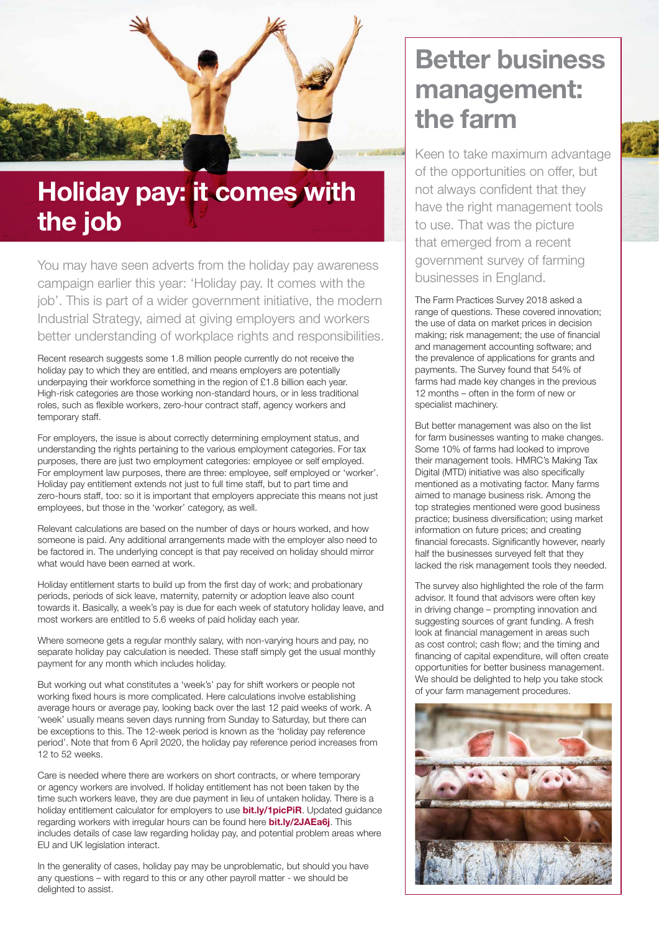

## **Holiday pay: it comes with the job**

You may have seen adverts from the holiday pay awareness campaign earlier this year: 'Holiday pay. It comes with the job'. This is part of a wider government initiative, the modern Industrial Strategy, aimed at giving employers and workers better understanding of workplace rights and responsibilities.

Recent research suggests some 1.8 million people currently do not receive the holiday pay to which they are entitled, and means employers are potentially underpaying their workforce something in the region of £1.8 billion each year. High-risk categories are those working non-standard hours, or in less traditional roles, such as flexible workers, zero-hour contract staff, agency workers and temporary staff.

For employers, the issue is about correctly determining employment status, and understanding the rights pertaining to the various employment categories. For tax purposes, there are just two employment categories: employee or self employed. For employment law purposes, there are three: employee, self employed or 'worker'. Holiday pay entitlement extends not just to full time staff, but to part time and zero-hours staff, too: so it is important that employers appreciate this means not just employees, but those in the 'worker' category, as well.

Relevant calculations are based on the number of days or hours worked, and how someone is paid. Any additional arrangements made with the employer also need to be factored in. The underlying concept is that pay received on holiday should mirror what would have been earned at work.

Holiday entitlement starts to build up from the first day of work; and probationary periods, periods of sick leave, maternity, paternity or adoption leave also count towards it. Basically, a week's pay is due for each week of statutory holiday leave, and most workers are entitled to 5.6 weeks of paid holiday each year.

Where someone gets a regular monthly salary, with non-varying hours and pay, no separate holiday pay calculation is needed. These staff simply get the usual monthly payment for any month which includes holiday.

But working out what constitutes a 'week's' pay for shift workers or people not working fixed hours is more complicated. Here calculations involve establishing average hours or average pay, looking back over the last 12 paid weeks of work. A 'week' usually means seven days running from Sunday to Saturday, but there can be exceptions to this. The 12-week period is known as the 'holiday pay reference period'. Note that from 6 April 2020, the holiday pay reference period increases from 12 to 52 weeks.

Care is needed where there are workers on short contracts, or where temporary or agency workers are involved. If holiday entitlement has not been taken by the time such workers leave, they are due payment in lieu of untaken holiday. There is a holiday entitlement calculator for employers to use **[bit.ly/1picPiR](https://www.gov.uk/calculate-your-holiday-entitlement)**. Updated guidance regarding workers with irregular hours can be found here **[bit.ly/2JAEa6j](https://www.gov.uk/government/publications/calculating-holiday-pay-for-workers-without-fixed-hours-or-pay/calculating-holiday-pay-for-workers-without-fixed-hours-or-pay--2)**. This includes details of case law regarding holiday pay, and potential problem areas where EU and UK legislation interact.

In the generality of cases, holiday pay may be unproblematic, but should you have any questions – with regard to this or any other payroll matter - we should be delighted to assist.

## **Better business management: the farm**

Keen to take maximum advantage of the opportunities on offer, but not always confident that they have the right management tools to use. That was the picture that emerged from a recent government survey of farming businesses in England.

The Farm Practices Survey 2018 asked a range of questions. These covered innovation; the use of data on market prices in decision making; risk management; the use of financial and management accounting software; and the prevalence of applications for grants and payments. The Survey found that 54% of farms had made key changes in the previous 12 months – often in the form of new or specialist machinery.

But better management was also on the list for farm businesses wanting to make changes. Some 10% of farms had looked to improve their management tools. HMRC's Making Tax Digital (MTD) initiative was also specifically mentioned as a motivating factor. Many farms aimed to manage business risk. Among the top strategies mentioned were good business practice; business diversification; using market information on future prices; and creating financial forecasts. Significantly however, nearly half the businesses surveyed felt that they lacked the risk management tools they needed.

The survey also highlighted the role of the farm advisor. It found that advisors were often key in driving change – prompting innovation and suggesting sources of grant funding. A fresh look at financial management in areas such as cost control; cash flow; and the timing and financing of capital expenditure, will often create opportunities for better business management. We should be delighted to help you take stock of your farm management procedures.

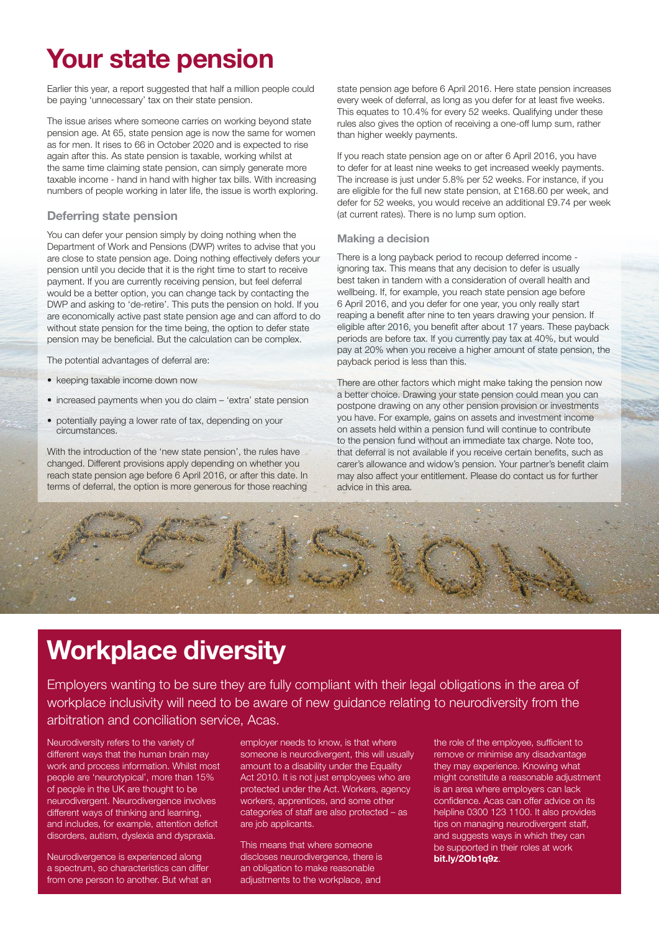## **Your state pension**

Earlier this year, a report suggested that half a million people could be paying 'unnecessary' tax on their state pension.

The issue arises where someone carries on working beyond state pension age. At 65, state pension age is now the same for women as for men. It rises to 66 in October 2020 and is expected to rise again after this. As state pension is taxable, working whilst at the same time claiming state pension, can simply generate more taxable income - hand in hand with higher tax bills. With increasing numbers of people working in later life, the issue is worth exploring.

#### **Deferring state pension**

You can defer your pension simply by doing nothing when the Department of Work and Pensions (DWP) writes to advise that you are close to state pension age. Doing nothing effectively defers your pension until you decide that it is the right time to start to receive payment. If you are currently receiving pension, but feel deferral would be a better option, you can change tack by contacting the DWP and asking to 'de-retire'. This puts the pension on hold. If you are economically active past state pension age and can afford to do without state pension for the time being, the option to defer state pension may be beneficial. But the calculation can be complex.

The potential advantages of deferral are:

- keeping taxable income down now
- increased payments when you do claim 'extra' state pension
- potentially paying a lower rate of tax, depending on your circumstances.

With the introduction of the 'new state pension', the rules have changed. Different provisions apply depending on whether you reach state pension age before 6 April 2016, or after this date. In terms of deferral, the option is more generous for those reaching state pension age before 6 April 2016. Here state pension increases every week of deferral, as long as you defer for at least five weeks. This equates to 10.4% for every 52 weeks. Qualifying under these rules also gives the option of receiving a one-off lump sum, rather than higher weekly payments.

If you reach state pension age on or after 6 April 2016, you have to defer for at least nine weeks to get increased weekly payments. The increase is just under 5.8% per 52 weeks. For instance, if you are eligible for the full new state pension, at £168.60 per week, and defer for 52 weeks, you would receive an additional £9.74 per week (at current rates). There is no lump sum option.

#### **Making a decision**

There is a long payback period to recoup deferred income ignoring tax. This means that any decision to defer is usually best taken in tandem with a consideration of overall health and wellbeing. If, for example, you reach state pension age before 6 April 2016, and you defer for one year, you only really start reaping a benefit after nine to ten years drawing your pension. If eligible after 2016, you benefit after about 17 years. These payback periods are before tax. If you currently pay tax at 40%, but would pay at 20% when you receive a higher amount of state pension, the payback period is less than this.

There are other factors which might make taking the pension now a better choice. Drawing your state pension could mean you can postpone drawing on any other pension provision or investments you have. For example, gains on assets and investment income on assets held within a pension fund will continue to contribute to the pension fund without an immediate tax charge. Note too, that deferral is not available if you receive certain benefits, such as carer's allowance and widow's pension. Your partner's benefit claim may also affect your entitlement. Please do contact us for further advice in this area.



## **Workplace diversity**

Employers wanting to be sure they are fully compliant with their legal obligations in the area of workplace inclusivity will need to be aware of new guidance relating to neurodiversity from the arbitration and conciliation service, Acas.

Neurodiversity refers to the variety of different ways that the human brain may work and process information. Whilst most people are 'neurotypical', more than 15% of people in the UK are thought to be neurodivergent. Neurodivergence involves different ways of thinking and learning, and includes, for example, attention deficit disorders, autism, dyslexia and dyspraxia.

Neurodivergence is experienced along a spectrum, so characteristics can differ from one person to another. But what an employer needs to know, is that where someone is neurodivergent, this will usually amount to a disability under the Equality Act 2010. It is not just employees who are protected under the Act. Workers, agency workers, apprentices, and some other categories of staff are also protected – as are job applicants.

This means that where someone discloses neurodivergence, there is an obligation to make reasonable adjustments to the workplace, and the role of the employee, sufficient to remove or minimise any disadvantage they may experience. Knowing what might constitute a reasonable adjustment is an area where employers can lack confidence. Acas can offer advice on its helpline 0300 123 1100. It also provides tips on managing neurodivergent staff, and suggests ways in which they can be supported in their roles at work **[bit.ly/2Ob1q9z](http://www.acas.org.uk/index.aspx?articleid=6676)**.